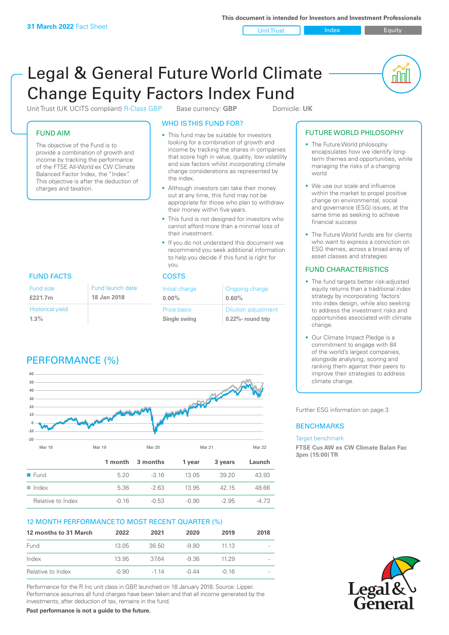Unit Trust Index Equity

nnl

# Legal & General Future World Climate Change Equity Factors Index Fund

Unit Trust (UK UCITS compliant) R-Class GBP Base currency: **GBP** Domicile: UK

# FUND AIM

The objective of the Fund is to provide a combination of growth and income by tracking the performance of the FTSE All-World ex CW Climate Balanced Factor Index, the "Index". This objective is after the deduction of charges and taxation.

# WHO IS THIS FUND FOR?

- This fund may be suitable for investors looking for a combination of growth and income by tracking the shares in companies that score high in value, quality, low volatility and size factors whilst incorporating climate change considerations as represented by the index.
- Although investors can take their money out at any time, this fund may not be appropriate for those who plan to withdraw their money within five years.
- This fund is not designed for investors who cannot afford more than a minimal loss of their investment.
- If you do not understand this document we recommend you seek additional information to help you decide if this fund is right for you.

| Initial charge<br>$0.00\%$  | Ongoing charge<br>0.60%                         |
|-----------------------------|-------------------------------------------------|
| Price basis<br>Single swing | <b>Dilution adjustment</b><br>0.22%- round trip |

# FUND FACTS COSTS

| Fund size               | Fund launch date |
|-------------------------|------------------|
| £221.7m                 | 18 Jan 2018      |
| <b>Historical yield</b> |                  |
| $1.3\%$                 |                  |

# PERFORMANCE (%)



# 12 MONTH PERFORMANCE TO MOST RECENT QUARTER (%)

| 12 months to 31 March | 2022    | 2021   | 2020  | 2019    | 2018                     |
|-----------------------|---------|--------|-------|---------|--------------------------|
| Fund                  | 13.05   | 36.50  | -9.80 | 11 13   | $\overline{\phantom{a}}$ |
| Index                 | 13.95   | 3764   | -9.36 | 11 29   |                          |
| Relative to Index     | $-0.90$ | $-114$ | -0.44 | $-0.16$ |                          |

Performance for the R Inc unit class in GBP, launched on 18 January 2018. Source: Lipper. Performance assumes all fund charges have been taken and that all income generated by the investments, after deduction of tax, remains in the fund.

**Past performance is not a guide to the future.**

# FUTURE WORLD PHILOSOPHY

- The Future World philosophy encapsulates how we identify longterm themes and opportunities, while managing the risks of a changing world
- We use our scale and influence within the market to propel positive change on environmental, social and governance (ESG) issues, at the same time as seeking to achieve financial success
- The Future World funds are for clients who want to express a conviction on ESG themes, across a broad array of asset classes and strategies

# FUND CHARACTERISTICS

- The fund targets better risk-adjusted equity returns than a traditional index strategy by incorporating 'factors' into index design, while also seeking to address the investment risks and opportunities associated with climate change.
- Our Climate Impact Pledge is a commitment to engage with 84 of the world's largest companies, alongside analysing, scoring and ranking them against their peers to improve their strategies to address climate change.

Further ESG information on page 3

# **BENCHMARKS**

#### Target benchmark

**FTSE Cus AW ex CW Climate Balan Fac 3pm (15:00) TR**

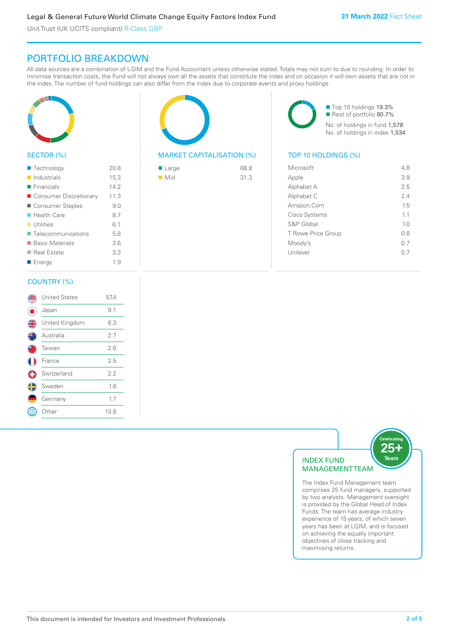Unit Trust (UK UCITS compliant) R-Class GBP

# PORTFOLIO BREAKDOWN

All data sources are a combination of LGIM and the Fund Accountant unless otherwise stated. Totals may not sum to due to rounding. In order to minimise transaction costs, the Fund will not always own all the assets that constitute the index and on occasion it will own assets that are not in the index. The number of fund holdings can also differ from the index due to corporate events and proxy holdings.



# SECTOR (%)

| ■ Technology               | 20.8 |
|----------------------------|------|
| $\blacksquare$ Industrials | 15.3 |
| $\blacksquare$ Financials  | 142  |
| ■ Consumer Discretionary   | 11.3 |
| ■ Consumer Staples         | 9.0  |
| ■ Health Care              | 8.7  |
| $\blacksquare$ Utilities   | 6.1  |
| ■ Telecommunications       | 5.8  |
| ■ Basic Materials          | 3.6  |
| ■ Real Estate              | 3.3  |
| ■ Energy                   | 1.9  |
|                            |      |

#### COUNTRY (%)

|   | <b>United States</b> | 57.4 |  |
|---|----------------------|------|--|
|   | Japan                | 9.1  |  |
| 4 | United Kingdom       | 6.3  |  |
|   | Australia            | 2.7  |  |
|   | Taiwan               | 2.6  |  |
|   | France               | 2.5  |  |
| G | Switzerland          | 2.2  |  |
| C | Sweden               | 1.8  |  |
|   | Germany              | 1.7  |  |
|   | Other                | 13.8 |  |
|   |                      |      |  |

# MARKET CAPITALISATION (%) TOP 10 HOLDINGS (%)

| $\blacksquare$ Large | 68.8 |
|----------------------|------|
| $\blacksquare$ Mid   | 31.3 |

■ Top 10 holdings 19.3% ■ Rest of portfolio 80.7% No. of holdings in fund 1,578 No. of holdings in index 1,534

| Microsoft          | 48             |
|--------------------|----------------|
| Apple              | 3.9            |
| Alphabet A         | 25             |
| Alphabet C         | 2.4            |
| Amazon.Com         | 15             |
| Cisco Systems      | 1.1            |
| S&P Global         | 1 <sub>0</sub> |
| T Rowe Price Group | 0.8            |
| Moody's            | 0.7            |
| Unilever           | 0.7            |
|                    |                |



The Index Fund Management team comprises 25 fund managers, supported by two analysts. Management oversight is provided by the Global Head of Index Funds. The team has average industry experience of 15 years, of which seven years has been at LGIM, and is focused on achieving the equally important objectives of close tracking and maximising returns.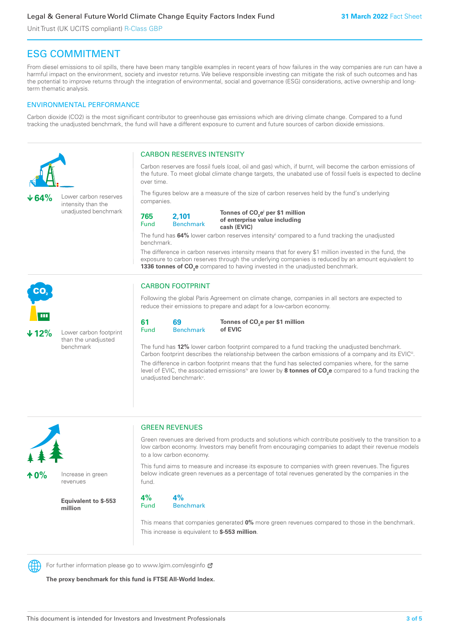# Legal & General Future World Climate Change Equity Factors Index Fund

Unit Trust (UK UCITS compliant) R-Class GBP

# ESG COMMITMENT

From diesel emissions to oil spills, there have been many tangible examples in recent years of how failures in the way companies are run can have a harmful impact on the environment, society and investor returns. We believe responsible investing can mitigate the risk of such outcomes and has the potential to improve returns through the integration of environmental, social and governance (ESG) considerations, active ownership and longterm thematic analysis.

# ENVIRONMENTAL PERFORMANCE

Carbon dioxide (CO2) is the most significant contributor to greenhouse gas emissions which are driving climate change. Compared to a fund tracking the unadjusted benchmark, the fund will have a different exposure to current and future sources of carbon dioxide emissions.





**10%** Increase in green revenues

> **Equivalent to \$-553 million**

# GREEN REVENUES

Green revenues are derived from products and solutions which contribute positively to the transition to a low carbon economy. Investors may benefit from encouraging companies to adapt their revenue models to a low carbon economy.

This fund aims to measure and increase its exposure to companies with green revenues. The figures below indicate green revenues as a percentage of total revenues generated by the companies in the fund.

**4%** Fund **4%** Benchmark

This means that companies generated **0%** more green revenues compared to those in the benchmark. This increase is equivalent to **\$-553 million**.



For further information please go to www.lgim.com/esginfo Ø

**The proxy benchmark for this fund is FTSE All-World Index.**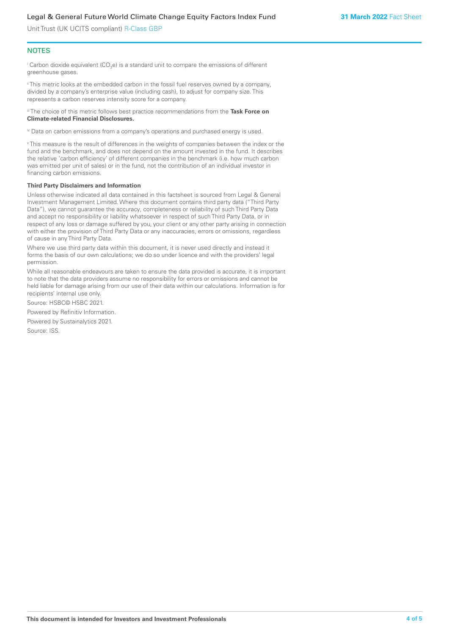Unit Trust (UK UCITS compliant) R-Class GBP

#### **NOTES**

 $^\mathrm{i}$  Carbon dioxide equivalent (CO<sub>2</sub>e) is a standard unit to compare the emissions of different greenhouse gases.

ii This metric looks at the embedded carbon in the fossil fuel reserves owned by a company, divided by a company's enterprise value (including cash), to adjust for company size. This represents a carbon reserves intensity score for a company.

iii The choice of this metric follows best practice recommendations from the **Task Force on Climate-related Financial Disclosures.**

iv Data on carbon emissions from a company's operations and purchased energy is used.

v This measure is the result of differences in the weights of companies between the index or the fund and the benchmark, and does not depend on the amount invested in the fund. It describes the relative 'carbon efficiency' of different companies in the benchmark (i.e. how much carbon was emitted per unit of sales) or in the fund, not the contribution of an individual investor in financing carbon emissions.

#### **Third Party Disclaimers and Information**

Unless otherwise indicated all data contained in this factsheet is sourced from Legal & General Investment Management Limited. Where this document contains third party data ("Third Party Data"), we cannot guarantee the accuracy, completeness or reliability of such Third Party Data and accept no responsibility or liability whatsoever in respect of such Third Party Data, or in respect of any loss or damage suffered by you, your client or any other party arising in connection with either the provision of Third Party Data or any inaccuracies, errors or omissions, regardless of cause in any Third Party Data.

Where we use third party data within this document, it is never used directly and instead it forms the basis of our own calculations; we do so under licence and with the providers' legal permission.

While all reasonable endeavours are taken to ensure the data provided is accurate, it is important to note that the data providers assume no responsibility for errors or omissions and cannot be held liable for damage arising from our use of their data within our calculations. Information is for recipients' internal use only.

Source: HSBC© HSBC 2021.

Powered by Refinitiv Information.

Powered by Sustainalytics 2021.

Source: ISS.